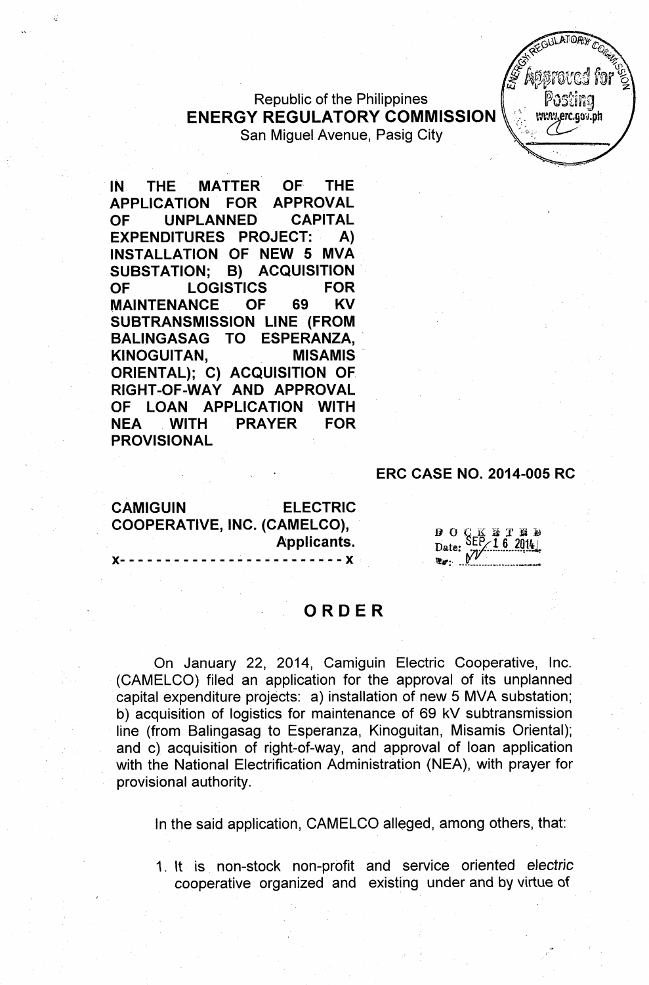## Republic of the Philippines ENERGY REGULATORY COMMISSION

SanMiguel Avenue, Pasig City

IN THE MATTER OF THE APPLICATION FOR APPROVAL OF UNPLANNED CAPITAL EXPENDITURES PROJECT:' A) INSTALLATION OF NEW 5 MVA SUBSTATION; B) ACQUISITION' OF LOGISTICS FOR MAINTENANCE OF 69 KV SUBTRANSMISSION LINE (FROM BALINGASAG TO ESPERANZA, KINOGUITAN, MISAMIS ORIENTAL); C) ACQUISITION OF RIGHT~OF-WAY AND APPROVAL OF LOAN APPLICATION WITH NEA WITH 'PRAYER FOR PROVISIONAL

#### ERC CASE NO. 2014-005 RC

**GULATORY** 

.erc.gov.oh

, CAMIGUIN ELECTRIC COOPERATIVE, INC. (CAMELCO), Applicants. )(- - - - - - - - - - - - - - - - - - - - - - - - - )(

 $\mathbf{p}$  o  $\mathbf{Q}$   $\mathbf{K}$  is  $\mathbf{I}$ I ]i, l:} Date:  $\frac{\text{SEP}}{27}$  16 2014 'I•.:, ..*r~.~\_..\_. \_*

## ORDER

On January 22, 2014, Camiguin Electric Cooperative, Inc. (CAMELCO) filed an application for the approval of its unplanned capital expenditure projects: a) installation, of new 5 MVA substation; b) acquisition of logistics for maintenance of 69 kV subtransmission line (from Balingasag to Esperanza, Kinoguitan, Misamis Oriental); and c) acquisition of right~of-way, and approval of loan application with the National Electrification Administration (NEA), with prayer for provisional authority.

In the said application, CAMELCO alleged, among others, that:

1. 't is non-stock non-profit and service oriented *eJectric* cooperative organized and existing under and by virtue of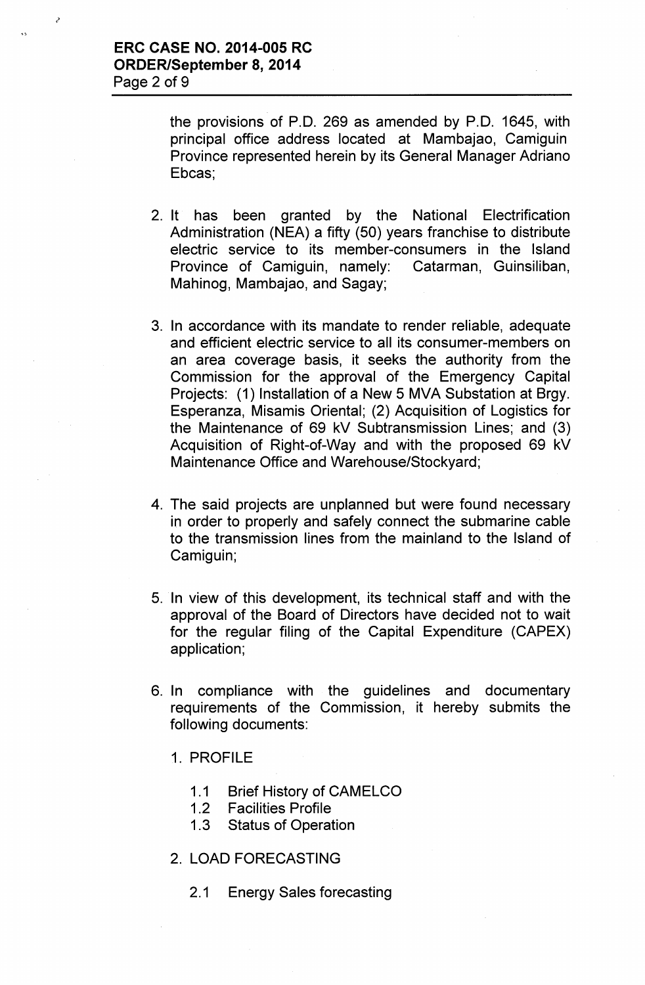?

the provisions of P.O. 269 as amended by P.O. 1645, with principal office address located at Mambajao, Camiguin Province represented herein by its General Manager Adriano Ebcas;

- 2. It has been granted by the National Electrification Administration (NEA) a fifty (50) years franchise to distribute electric service to its member-consumers in the Island Province of Camiguin, namely: Catarman, Guinsiliban, Mahinog, Mambajao, and Sagay;
- 3. In accordance with its mandate to render reliable, adequate and efficient electric service to all its consumer-members on an area coverage basis, it seeks the authority from the Commission for the approval of the Emergency Capital Projects: (1) Installation of a New 5 MVA Substation at Brgy. Esperanza, Misamis Oriental; (2) Acquisition of Logistics for the Maintenance of 69 kV Subtransmission Lines; and (3) Acquisition of Right-of-Way and with the proposed 69 kV Maintenance Office and Warehouse/Stockyard;
- 4. The said projects are unplanned but were found necessary in order to properly and safely connect the submarine cable to the transmission lines from the mainland to the Island of Camiguin;
- 5. In view of this development, its technical staff and with the approval of the Board of Directors have decided not to wait for the regular filing of the Capital Expenditure (CAPEX) application;
- 6. In compliance with the guidelines and documentary requirements of the Commission, it hereby submits the following documents:
	- 1. PROFILE
		- 1.1 Brief History of CAMELCO
		- 1.2 Facilities Profile
		- 1.3 Status of Operation
	- 2. LOAD FORECASTING
		- 2.1 Energy Sales forecasting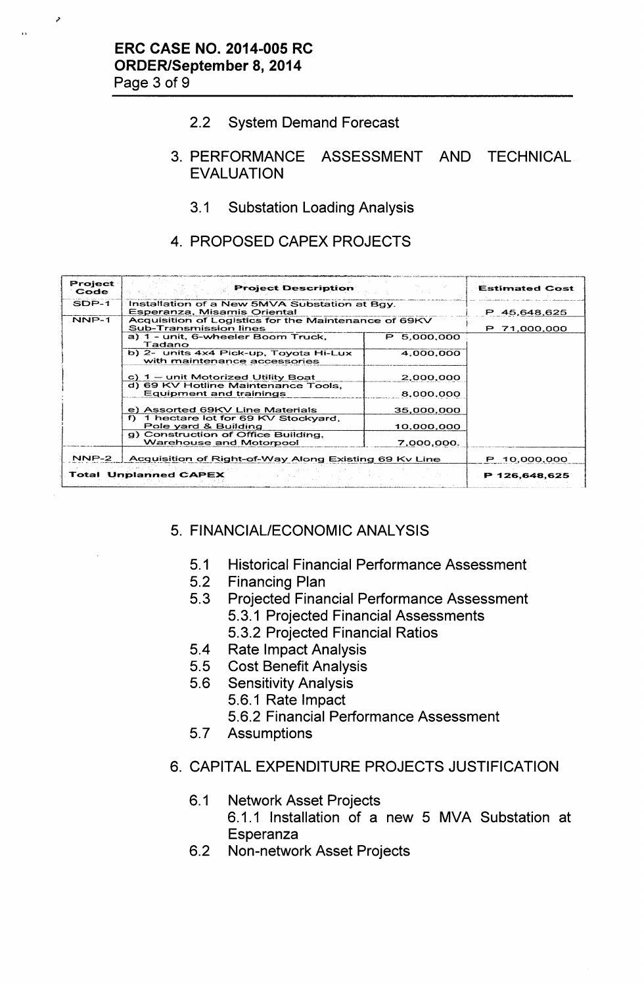## 2.2 **System Demand Forecast**

## 3. **PERFORMANCE ASSESSMENT AND TECHNICAL EVALUATION**

3.1 **Substation loading Analysis**

### 4. **PROPOSED CAPEX PROJECTS**

| Project<br>Code | <b>Project Description</b>                                                            |              | <b>Estimated Cost</b> |
|-----------------|---------------------------------------------------------------------------------------|--------------|-----------------------|
| $SDP-1$         | Installation of a New 5MVA Substation at Bgy.<br>Esperanza, Misamis Oriental          | P 45,648,625 |                       |
| NNP-1           | Acquisition of Logistics for the Maintenance of 69KV<br><b>Sub-Transmission lines</b> | P 71,000,000 |                       |
|                 | a) 1 - unit, 6-wheeler Boom Truck,<br>Tadano                                          | P 5.000.000  |                       |
|                 | b) 2- units 4x4 Pick-up, Toyota Hi-Lux<br>with maintenance accessories                | 4,000,000    |                       |
|                 | c) 1 - unit Motorized Utility Boat                                                    | 2,000,000    |                       |
|                 | d) 69 KV Hotline Maintenance Tools,<br><b>Equipment and trainings</b>                 | 8.000.000    |                       |
|                 | e) Assorted 69KV Line Materials                                                       | 35,000,000   |                       |
|                 | 1 hectare lot for 69 KV Stockyard,<br>f)<br>Pole yard & Building                      | 10,000,000   |                       |
|                 | g) Construction of Office Building.<br>Warehouse and Motorpool                        | 7.000.000.   |                       |
| $NNP-2$         | Acquisition of Right-of-Way Along Existing 69 Kv Line                                 |              | P 10,000,000          |
|                 | <b>Total Unplanned CAPEX</b>                                                          |              | P 126,648,625         |

### 5. **FINANCIAL/ECONOMIC ANALYSIS**

- 5.1 **Historical Financial Performance Assessment**
- 5.2 **Financing Plan**
- 5.3 **Projected Financial Performance Assessment** 5.3.1 **Projected Financial Assessments**
	- 5.3.2 **Projected Financial Ratios**
- 5.4 **Rate Impact Analysis**
- 5.5 **Cost Benefit Analysis**
- 5.6 **Sensitivity Analysis** 5.6.1 **Rate Impact**
	-
	- 5.6.2 **Financial Performance Assessment**
- **5.7 Assumptions**

## 6. **CAPITAL EXPENDITURE PROJECTS JUSTIFICATION**

- 6.1 **Network Asset Projects**
	- 6.1.1 **Installation of a new 5 MVA Substation at Esperanza**
- 6.2 **Non-network Asset Projects**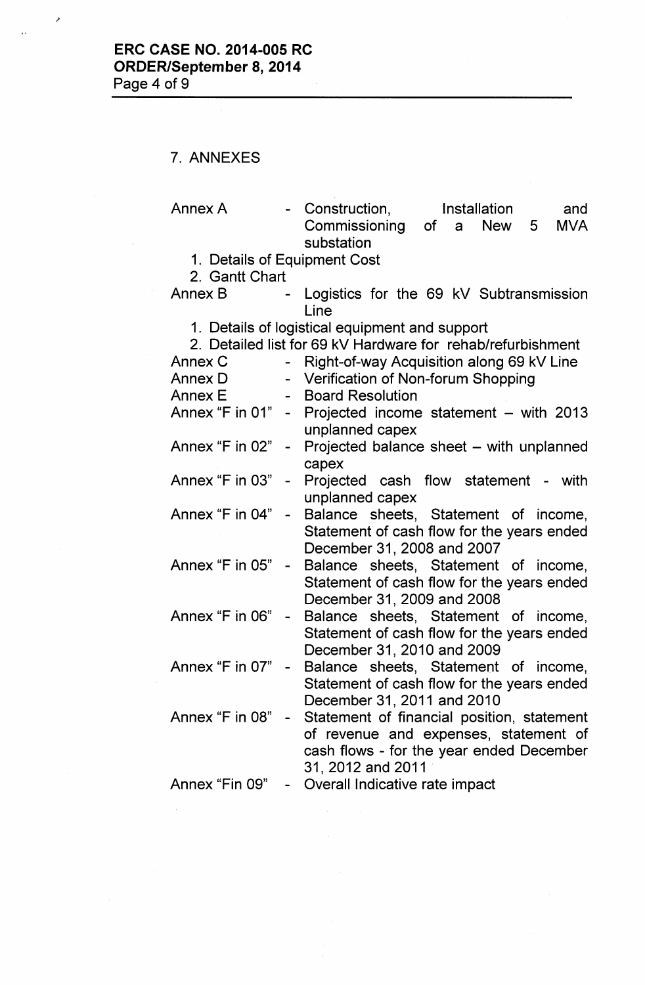$\bar{\epsilon}$ 

 $\mathcal{L}_{\mathcal{A}}$ 

# 7. ANNEXES

 $\sim$ 

| Annex A                                                                                                       |                | - Construction,<br>Installation<br>and<br>Commissioning of a<br><b>MVA</b><br>New<br>5<br>substation                                                 |  |  |  |  |  |
|---------------------------------------------------------------------------------------------------------------|----------------|------------------------------------------------------------------------------------------------------------------------------------------------------|--|--|--|--|--|
| 1. Details of Equipment Cost<br>2. Gantt Chart                                                                |                |                                                                                                                                                      |  |  |  |  |  |
| Annex B                                                                                                       |                | Logistics for the 69 kV Subtransmission<br>Line                                                                                                      |  |  |  |  |  |
| 1. Details of logistical equipment and support<br>2. Detailed list for 69 kV Hardware for rehab/refurbishment |                |                                                                                                                                                      |  |  |  |  |  |
| Annex C                                                                                                       |                | Right-of-way Acquisition along 69 kV Line                                                                                                            |  |  |  |  |  |
| Annex D                                                                                                       |                | - Verification of Non-forum Shopping                                                                                                                 |  |  |  |  |  |
| <b>Annex E</b>                                                                                                | $\blacksquare$ | <b>Board Resolution</b>                                                                                                                              |  |  |  |  |  |
| Annex "F in 01"                                                                                               | $\sim$         | Projected income statement – with 2013<br>unplanned capex                                                                                            |  |  |  |  |  |
| Annex "F in $02" -$                                                                                           |                | Projected balance sheet – with unplanned<br>capex                                                                                                    |  |  |  |  |  |
| Annex "F in 03"                                                                                               | $\frac{1}{2}$  | Projected cash flow statement - with<br>unplanned capex                                                                                              |  |  |  |  |  |
| Annex "F in 04"                                                                                               |                | Balance sheets, Statement of income,<br>Statement of cash flow for the years ended<br>December 31, 2008 and 2007                                     |  |  |  |  |  |
| Annex "F in 05"                                                                                               | $\blacksquare$ | Balance sheets, Statement of income,<br>Statement of cash flow for the years ended<br>December 31, 2009 and 2008                                     |  |  |  |  |  |
| Annex "F in 06"                                                                                               | $\blacksquare$ | Balance sheets, Statement of income,<br>Statement of cash flow for the years ended<br>December 31, 2010 and 2009                                     |  |  |  |  |  |
| Annex "F in 07"                                                                                               |                | Balance sheets, Statement of income,<br>Statement of cash flow for the years ended<br>December 31, 2011 and 2010                                     |  |  |  |  |  |
| Annex "F in 08"                                                                                               |                | Statement of financial position, statement<br>of revenue and expenses, statement of<br>cash flows - for the year ended December<br>31, 2012 and 2011 |  |  |  |  |  |
| Annex "Fin 09"                                                                                                |                | Overall Indicative rate impact                                                                                                                       |  |  |  |  |  |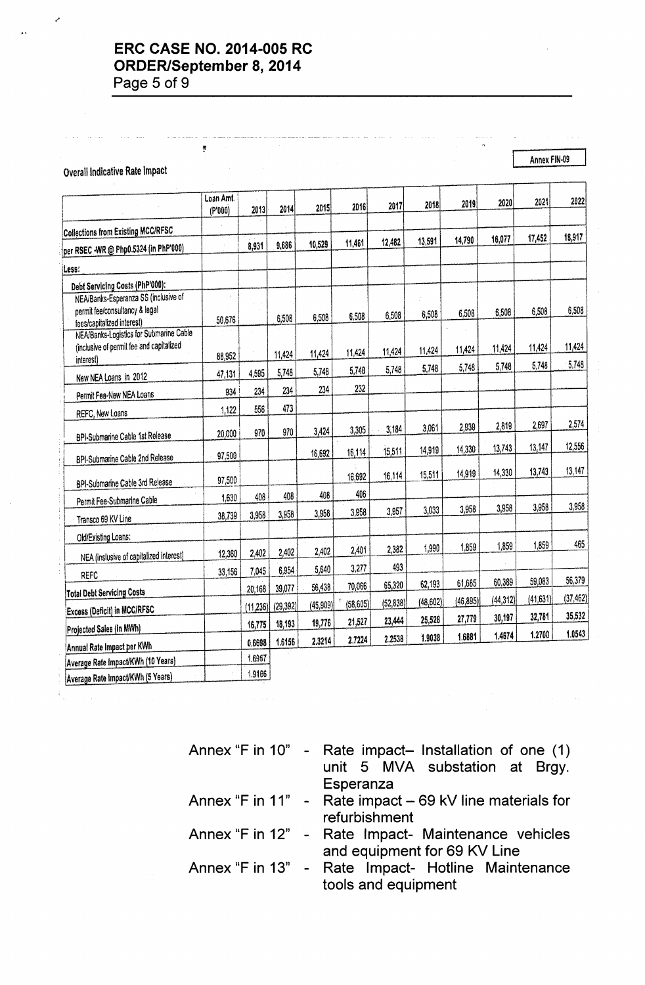## **ERe CASE NO. 2014-005 RC ORDER/September 8, 2014** Page 5 of 9

ŧ

#### Overall Indicative Rate Impact

Annex FIN-09

|                                                              | Loan Amt.<br>(P'000) | 2013      | 2014      | 2015      | 2016      | 2017      | 2018      | 2019      | 2020      | 2021      | 2022      |
|--------------------------------------------------------------|----------------------|-----------|-----------|-----------|-----------|-----------|-----------|-----------|-----------|-----------|-----------|
|                                                              |                      |           |           |           |           |           |           |           |           |           |           |
| <b>Collections from Existing MCC/RFSC</b>                    |                      | 8,931     | 9,686     | 10,529    | 11,461    | 12,482    | 13,591    | 14,790    | 16,077    | 17,452    | 18,917    |
| per RSEC -WR @ Php0.5324 (in PhP'000)                        |                      |           |           |           |           |           |           |           |           |           |           |
| Less:                                                        |                      |           |           |           |           |           |           |           |           |           |           |
| Debt Servicing Costs (PhP'000):                              |                      |           |           |           |           |           |           |           |           |           |           |
| NEA/Banks-Esperanza SS (inclusive of                         |                      |           |           |           |           |           |           |           |           |           |           |
| permit fee/consultancy & legal<br>fees/capitalized interest) | 50,676               |           | 6,508     | 6,508     | 6,508     | 6,508     | 6,508     | 6,508     | 6,508     | 6,508     | 6,508     |
| NEA/Banks-Logistics for Submarine Cable                      |                      |           |           |           |           |           |           |           |           |           |           |
| (inclusive of permit fee and capitalized                     |                      |           |           |           | 11,424    | 11,424    | 11,424    | 11,424    | 11,424    | 11,424    | 11,424    |
| interest)                                                    | 88,952               |           | 11,424    | 11,424    |           |           | 5,748     | 5,748     | 5,748     | 5,748     | 5,748     |
| New NEA Loans in 2012                                        | 47,131               | 4,595     | 5,748     | 5,748     | 5,748     | 5,748     |           |           |           |           |           |
| Permit Fee-New NEA Loans                                     | 934                  | 234       | 234       | 234       | 232       |           |           |           |           |           |           |
| REFC, New Loans                                              | 1,122                | 556       | 473       |           |           |           |           |           |           |           |           |
| <b>BPI-Submarine Cable 1st Release</b>                       | 20,000               | 970       | 970       | 3,424     | 3,305     | 3,184     | 3,061     | 2,939     | 2,819     | 2,697     | 2,574     |
|                                                              | 97,500               |           |           | 16,692    | 16,114    | 15,511    | 14,919    | 14,330    | 13,743    | 13,147    | 12,556    |
| BPI-Submarine Cable 2nd Release                              |                      |           |           |           |           |           |           |           | 14,330    | 13,743    | 13,147    |
| BPI-Submarine Cable 3rd Release                              | 97,500               |           |           |           | 16.692    | 16,114    | 15,511    | 14,919    |           |           |           |
| Permit Fee-Submarine Cable                                   | 1,630                | 408       | 408       | 408       | 406       |           |           |           |           |           |           |
| Transco 69 KV Line                                           | 38,739               | 3,958     | 3,958     | 3,958     | 3,958     | 3,957     | 3,033     | 3,958     | 3,958     | 3,958     | 3,958     |
| Old/Existing Loans:                                          |                      |           |           |           |           |           |           |           |           |           |           |
|                                                              | 12,360               | 2.402     | 2.402     | 2,402     | 2,401     | 2,382     | 1,990     | 1,859     | 1,859     | 1.859     | 465       |
| NEA (inslusive of capitalized interest)                      | 33,156               | 7,045     | 6,954     | 5,640     | 3,277     | 493       |           |           |           |           |           |
| <b>REFC</b>                                                  |                      | 20,168    | 39,077    | 56,438    | 70,066    | 65,320    | 62,193    | 61,685    | 60,389    | 59,083    | 56,379    |
| <b>Total Debt Servicing Costs</b>                            |                      |           |           |           | (58, 605) | (52, 838) | (48, 602) | (46, 895) | (44, 312) | (41, 631) | (37, 462) |
| <b>Excess (Deficit) in MCC/RFSC</b>                          |                      | (11, 236) | (29, 392) | (45, 909) |           |           | 25,528    | 27,779    | 30,197    | 32,781    | 35,532    |
| Projected Sales (In MWh)                                     |                      | 16,775    | 18,193    | 19,776    | 21,527    | 23,444    |           |           | 1.4674    | 1.2700    | 1.0543    |
| Annual Rate Impact per KWh                                   |                      | 0,6698    | 1.6156    | 2.3214    | 2.7224    | 2.2538    | 1.9038    | 1.6881    |           |           |           |
| Average Rate Impact/KWh (10 Years)                           |                      | 1,6967    |           |           |           |           |           |           |           |           |           |
| Average Rate Impact/KWh (5 Years)                            |                      | 1.9166    |           |           |           |           |           |           |           |           |           |

| Annex "F in 10" - Rate impact- Installation of one (1)<br>unit 5 MVA substation at Brgy.<br>Esperanza |
|-------------------------------------------------------------------------------------------------------|
| Annex "F in 11" - Rate impact $-69$ kV line materials for                                             |
| refurbishment                                                                                         |
| Annex "F in 12" - Rate Impact- Maintenance vehicles                                                   |
| and equipment for 69 KV Line                                                                          |
| Annex "F in 13" - Rate Impact- Hotline Maintenance                                                    |
| tools and equipment                                                                                   |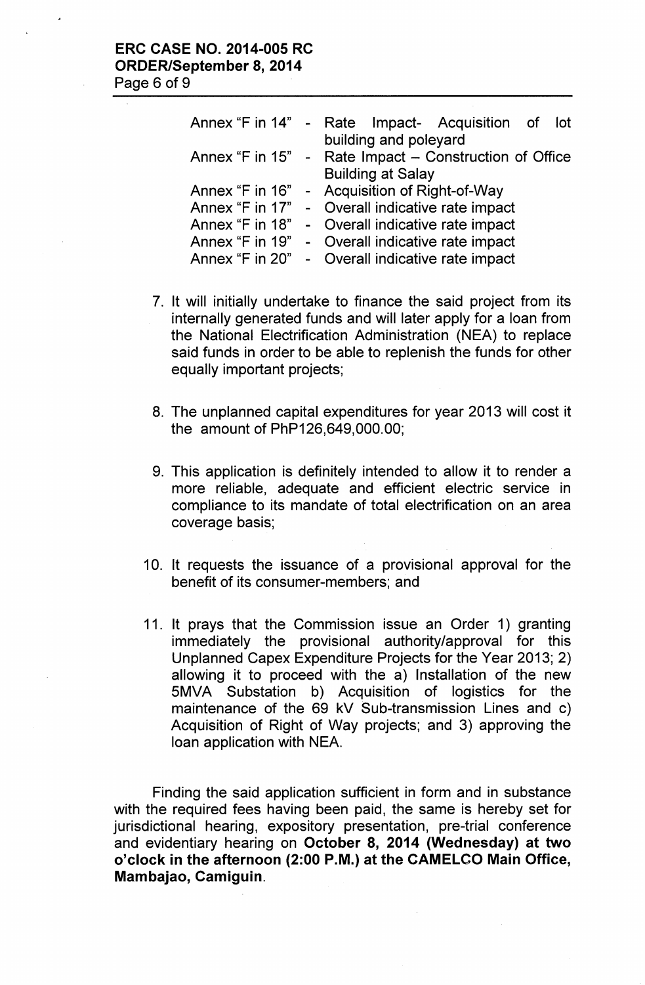| Annex "F in $14" -$    | Rate Impact- Acquisition of<br>lot            |
|------------------------|-----------------------------------------------|
|                        | building and poleyard                         |
| Annex "F in $15$ " $-$ | Rate Impact – Construction of Office          |
|                        | <b>Building at Salay</b>                      |
|                        | Annex "F in 16" - Acquisition of Right-of-Way |
| Annex "F in 17"        | - Overall indicative rate impact              |
| Annex "F in 18"        | - Overall indicative rate impact              |
| Annex "F in 19"        | - Overall indicative rate impact              |
| Annex "F in 20"        | - Overall indicative rate impact              |

- 7. It will initially undertake to finance the said project from its internally generated funds and will later apply for a loan from the National Electrification Administration (NEA) to replace said funds in order to be able to replenish the funds for other equally important projects;
- 8. The unplanned capital expenditures for year 2013 will cost it the amount of PhP126,649,000.00;
- 9. This application is definitely intended to allow it to render a more reliable, adequate and efficient electric service in compliance to its mandate of total electrification on an area coverage basis;
- 10. It requests the issuance of a provisional approval for the benefit of its consumer-members; and
- 11. It prays that the Commission issue an Order 1) granting immediately the provisional authority/approval for this Unplanned Capex Expenditure Projects for the Year 2013; 2) allowing it to proceed with the a) Installation of the new 5MVA Substation b) Acquisition of logistics for the maintenance of the 69 kV Sub-transmission Lines and c) Acquisition of Right of Way projects; and 3) approving the loan application with NEA.

Finding the said application sufficient in form and in substance with the required fees having been paid, the same is hereby set for jurisdictional hearing, expository presentation, pre-trial conference and evidentiary hearing on October 8, 2014 (Wednesday) at two o'clock in the afternoon (2:00 P.M.) at the CAMELCO Main Office, Mambajao, Camiguin.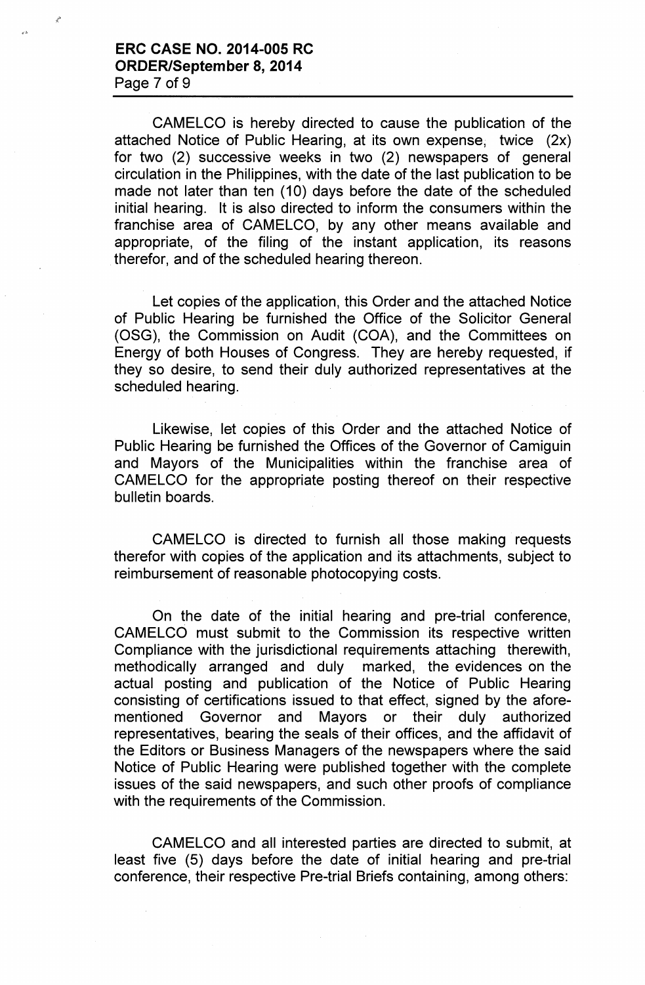## **ERC CASE NO. 2014-005 RC ORDER/September 8,2014** Page 7 of 9

/'

CAMELCO is hereby directed to cause the publication of the attached Notice of Public Hearing, at its own expense; twice (2x) for two (2) successive weeks in two (2) newspapers of general circulation in the Philippines, with the date of the last publication to be made not later than ten (10) days before the date of the scheduled initial hearing. It is also directed to inform the consumers within the franchise area of CAMELCO, by any other means available and appropriate, of the filing of the instant application, its reasons therefor, and of the scheduled hearing thereon.

Let copies of the application, this Order and the attached Notice of Public Hearing be furnished the Office of the Solicitor General (OSG), the Commission on Audit (COA), and the Committees on Energy of both Houses of Congress. They are hereby requested, if they so desire, to send their duly authorized representatives at the scheduled hearing.

Likewise, let copies of this Order and the attached Notice of Public Hearing be furnished the Offices of the Governor of Camiguin and Mayors of the Municipalities within the franchise area of CAMELCO for the appropriate posting thereof on their respective bulletin boards.

CAMELCO is directed to furnish all those making requests therefor with copies of the application and its attachments, subject to reimbursement of reasonable photocopying costs.

On the date of the initial hearing and pre-trial conference, CAMELCO must submit to the Commission its respective written Compliance with the jurisdictional requirements attaching therewith, methodically arranged and duly marked, the evidences on the actual posting and publication of the Notice of Public Hearing consisting of certifications issued to that effect, signed by the aforementioned Governor and Mayors or their duly authorized representatives, bearing the seals of their offices, and the affidavit of the Editors or Business Managers of the newspapers where the said Notice of Public Hearing were published together with the complete issues of the said newspapers, and such other proofs of compliance with the requirements of the Commission.

CAMELCO and all interested parties are directed to submit, at least five (5) days before the date of initial hearing and pre-trial conference, their respective Pre-trial Briefs containing, among others: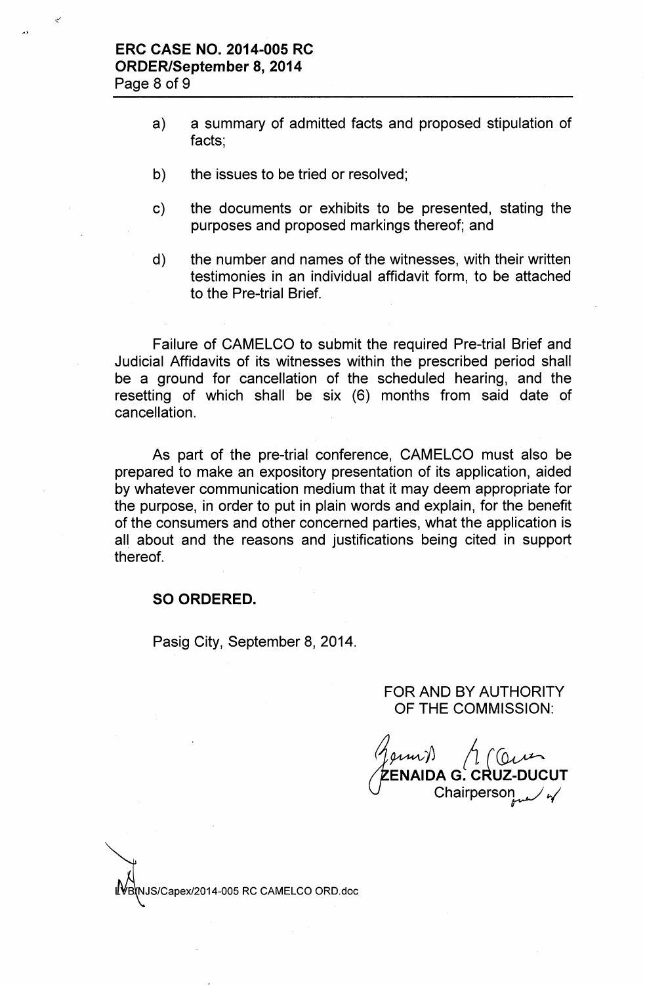....•.\

- a) a summary of admitted facts and proposed stipulation of facts;
- b) the issues to be tried or resolved;
- c) the documents or exhibits to be presented, stating the purposes and proposed markings thereof; and
- d) the number and names of the witnesses, with their written testimonies in an individual affidavit form, to be attached to the Pre-trial Brief.

Failure of CAMELCO to submit the required Pre-trial Brief and Judicial Affidavits of its witnesses within the prescribed period shall be a ground for cancellation of the scheduled hearing, and the resetting of which shall be six (6) months from said date of cancellation.

As part of the pre-trial conference, CAMELCO must also be prepared to make an expository presentation of its application, aided by whatever communication medium that it may deem appropriate for the purpose, in order to put in plain words and explain, for the benefit of the consumers and other concerned parties, what the application is all about and the reasons and justifications being cited in support thereof.

### SO ORDERED.

Pasig City, September 8, 2014.

FOR AND BY AUTHORITY OF THE COMMISSION:

 $\cup$  $_{\mu\nu}$ ENAIDA G. CRUZ-DUCUT Chairperson  $\mathscr{N}$ 

B NJS/Capex/2014-005 RC CAMELCO ORO.doc